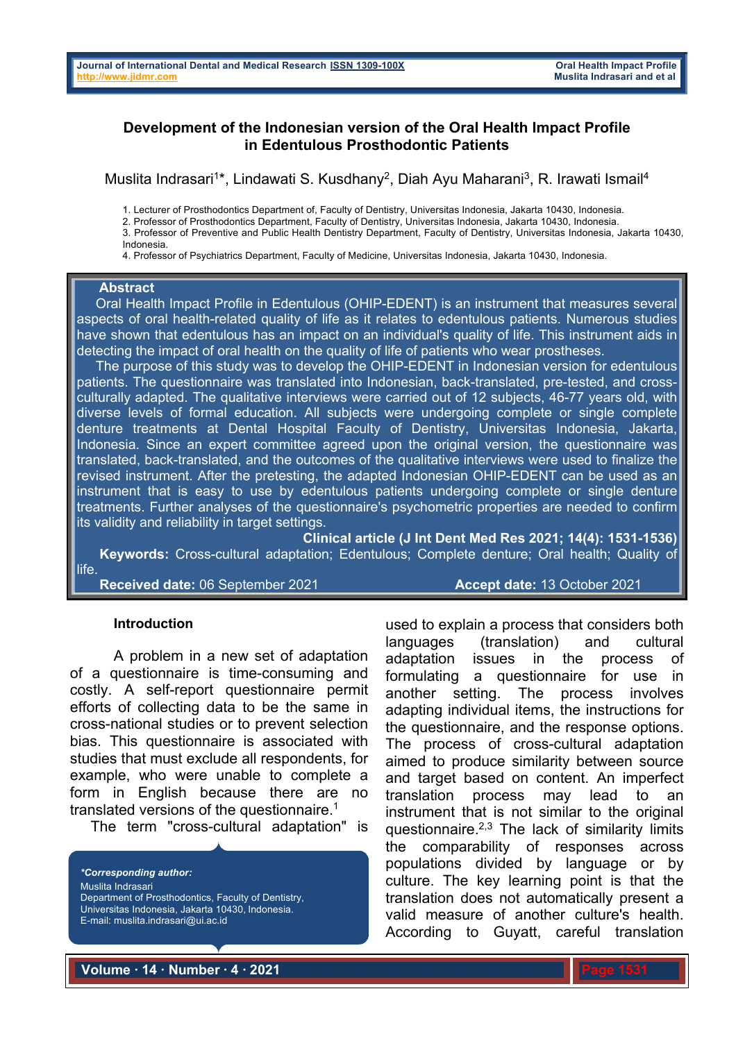# **Development of the Indonesian version of the Oral Health Impact Profile in Edentulous Prosthodontic Patients**

Muslita Indrasari<sup>1\*</sup>, Lindawati S. Kusdhany<sup>2</sup>, Diah Ayu Maharani<sup>3</sup>, R. Irawati Ismail<sup>4</sup>

1. Lecturer of Prosthodontics Department of, Faculty of Dentistry, Universitas Indonesia, Jakarta 10430, Indonesia.

2. Professor of Prosthodontics Department, Faculty of Dentistry, Universitas Indonesia, Jakarta 10430, Indonesia.

3. Professor of Preventive and Public Health Dentistry Department, Faculty of Dentistry, Universitas Indonesia, Jakarta 10430, Indonesia.

4. Professor of Psychiatrics Department, Faculty of Medicine, Universitas Indonesia, Jakarta 10430, Indonesia.

#### **Abstract**

 Oral Health Impact Profile in Edentulous (OHIP-EDENT) is an instrument that measures several aspects of oral health-related quality of life as it relates to edentulous patients. Numerous studies have shown that edentulous has an impact on an individual's quality of life. This instrument aids in detecting the impact of oral health on the quality of life of patients who wear prostheses.

 The purpose of this study was to develop the OHIP-EDENT in Indonesian version for edentulous patients. The questionnaire was translated into Indonesian, back-translated, pre-tested, and crossculturally adapted. The qualitative interviews were carried out of 12 subjects, 46-77 years old, with diverse levels of formal education. All subjects were undergoing complete or single complete denture treatments at Dental Hospital Faculty of Dentistry, Universitas Indonesia, Jakarta, Indonesia. Since an expert committee agreed upon the original version, the questionnaire was translated, back-translated, and the outcomes of the qualitative interviews were used to finalize the revised instrument. After the pretesting, the adapted Indonesian OHIP-EDENT can be used as an instrument that is easy to use by edentulous patients undergoing complete or single denture treatments. Further analyses of the questionnaire's psychometric properties are needed to confirm its validity and reliability in target settings.

**Clinical article (J Int Dent Med Res 2021; 14(4): 1531-1536) Keywords:** Cross-cultural adaptation; Edentulous; Complete denture; Oral health; Quality of life.

**Received date:** 06 September 2021 **Accept date:** 13 October 2021

### **Introduction**

A problem in a new set of adaptation of a questionnaire is time-consuming and costly. A self-report questionnaire permit efforts of collecting data to be the same in cross-national studies or to prevent selection bias. This questionnaire is associated with studies that must exclude all respondents, for example, who were unable to complete a form in English because there are no translated versions of the questionnaire.<sup>1</sup>

The term "cross-cultural adaptation" is

*\*Corresponding author:* Muslita Indrasari Department of Prosthodontics, Faculty of Dentistry, Universitas Indonesia, Jakarta 10430, Indonesia. E-mail: muslita.indrasari@ui.ac.id

used to explain a process that considers both languages (translation) and cultural adaptation issues in the process of formulating a questionnaire for use in another setting. The process involves adapting individual items, the instructions for the questionnaire, and the response options. The process of cross-cultural adaptation aimed to produce similarity between source and target based on content. An imperfect translation process may lead to an instrument that is not similar to the original questionnaire. $2,3$  The lack of similarity limits the comparability of responses across populations divided by language or by culture. The key learning point is that the translation does not automatically present a valid measure of another culture's health. According to Guyatt, careful translation

**Volume ∙ 14 ∙ Number ∙ 4 ∙ 2021**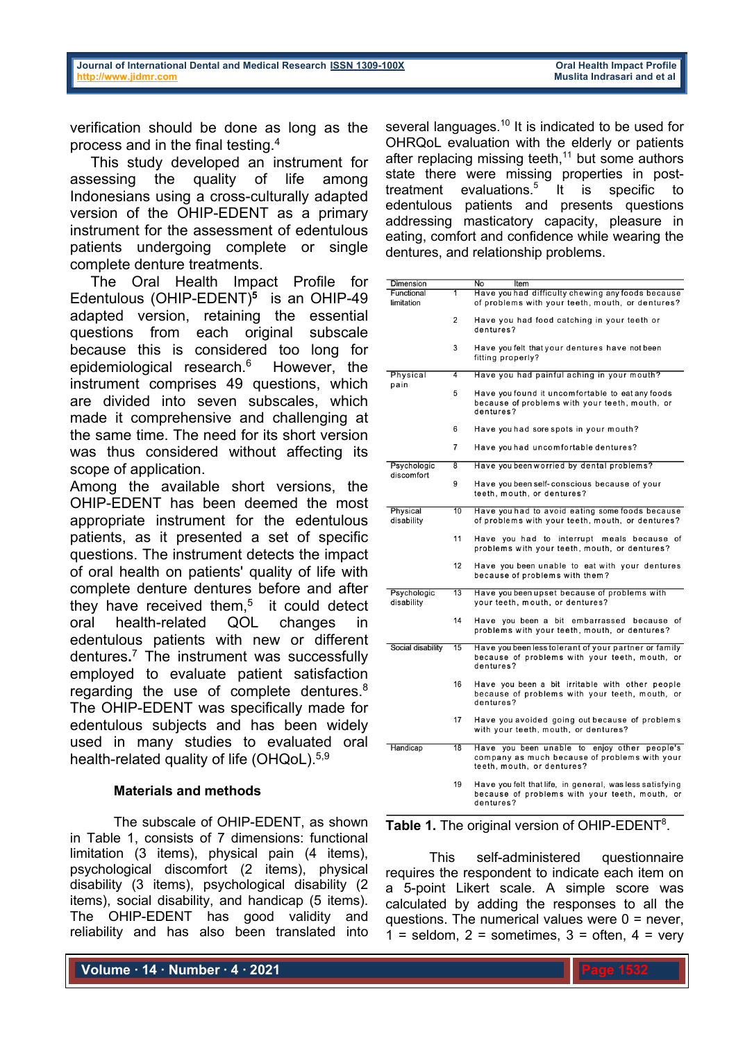verification should be done as long as the process and in the final testing. 4

 This study developed an instrument for assessing the quality of life among Indonesians using a cross-culturally adapted version of the OHIP-EDENT as a primary instrument for the assessment of edentulous patients undergoing complete or single complete denture treatments.

 The Oral Health Impact Profile for Edentulous (OHIP-EDENT)**<sup>5</sup>** is an OHIP-49 adapted version, retaining the essential questions from each original subscale because this is considered too long for epidemiological research.<sup>6</sup> However, the instrument comprises 49 questions, which are divided into seven subscales, which made it comprehensive and challenging at the same time. The need for its short version was thus considered without affecting its scope of application.

Among the available short versions, the OHIP-EDENT has been deemed the most appropriate instrument for the edentulous patients, as it presented a set of specific questions. The instrument detects the impact of oral health on patients' quality of life with complete denture dentures before and after they have received them, <sup>5</sup> it could detect oral health-related QOL changes in edentulous patients with new or different dentures**.** <sup>7</sup> The instrument was successfully employed to evaluate patient satisfaction regarding the use of complete dentures.8 The OHIP-EDENT was specifically made for edentulous subjects and has been widely used in many studies to evaluated oral health-related quality of life (OHQoL).<sup>5,9</sup>

## **Materials and methods**

The subscale of OHIP-EDENT, as shown in Table 1, consists of 7 dimensions: functional limitation (3 items), physical pain (4 items), psychological discomfort (2 items), physical disability (3 items), psychological disability (2 items), social disability, and handicap (5 items). The OHIP-EDENT has good validity and reliability and has also been translated into

**Volume ∙ 14 ∙ Number ∙ 4 ∙ 2021**

several languages.<sup>10</sup> It is indicated to be used for OHRQoL evaluation with the elderly or patients after replacing missing teeth,<sup>11</sup> but some authors state there were missing properties in posttreatment evaluations. <sup>5</sup> It is specific to edentulous patients and presents questions addressing masticatory capacity, pleasure in eating, comfort and confidence while wearing the dentures, and relationship problems.

| Dimension                 |                | No<br>Item                                                                                                                     |  |  |  |
|---------------------------|----------------|--------------------------------------------------------------------------------------------------------------------------------|--|--|--|
| Functional<br>limitation  | 1              | Have you had difficulty chewing any foods because<br>of problems with your teeth, mouth, or dentures?                          |  |  |  |
|                           |                |                                                                                                                                |  |  |  |
|                           | $\overline{2}$ | Have you had food catching in your teeth or<br>dentures?                                                                       |  |  |  |
|                           | 3              | Have you felt that your dentures have not been<br>fitting properly?                                                            |  |  |  |
| Physical                  | 4              | Have you had painful aching in your mouth?                                                                                     |  |  |  |
| pain                      | 5              | Have you found it uncomfortable to eat any foods<br>because of problems with your teeth, mouth, or<br>dentures?                |  |  |  |
|                           | 6              | Have you had sore spots in your mouth?                                                                                         |  |  |  |
|                           | 7              | Have you had uncomfortable dentures?                                                                                           |  |  |  |
| Psychologic<br>discomfort | 8              | Have you been worried by dental problems?                                                                                      |  |  |  |
|                           | 9              | Have you been self-conscious because of your<br>teeth, mouth, or dentures?                                                     |  |  |  |
| Physical<br>disability    | 10             | Have you had to avoid eating some foods because<br>of problems with your teeth, mouth, or dentures?                            |  |  |  |
|                           | 11             | Have you had to interrupt meals because of<br>problems with your teeth, mouth, or dentures?                                    |  |  |  |
|                           | 12             | Have you been unable to eat with your dentures<br>because of problems with them?                                               |  |  |  |
| Psychologic<br>disability | 13             | Have you been upset because of problems with<br>your teeth, mouth, or dentures?                                                |  |  |  |
|                           | 14             | Have you been a bit embarrassed because of<br>problems with your teeth, mouth, or dentures?                                    |  |  |  |
| Social disability         | 15             | Have you been less tolerant of your partner or family<br>because of problems with your teeth, mouth, or<br>dentures?           |  |  |  |
|                           | 16             | Have you been a bit irritable with other people<br>because of problems with your teeth, mouth, or<br>dentures?                 |  |  |  |
|                           | 17             | Have you avoided going out because of problems<br>with your teeth, mouth, or dentures?                                         |  |  |  |
| Handicap                  | 18             | Have you been unable to<br>enjoy other people's<br>company as much because of problems with your<br>teeth, mouth, or dentures? |  |  |  |
|                           | 19             | Have you felt that life, in general, was less satisfying<br>because of problems with your teeth, mouth, or<br>dentures?        |  |  |  |

Table 1. The original version of OHIP-EDENT<sup>8</sup>.

This self-administered questionnaire requires the respondent to indicate each item on a 5-point Likert scale. A simple score was calculated by adding the responses to all the questions. The numerical values were  $0 =$  never,  $1 =$  seldom,  $2 =$  sometimes,  $3 =$  often,  $4 =$  very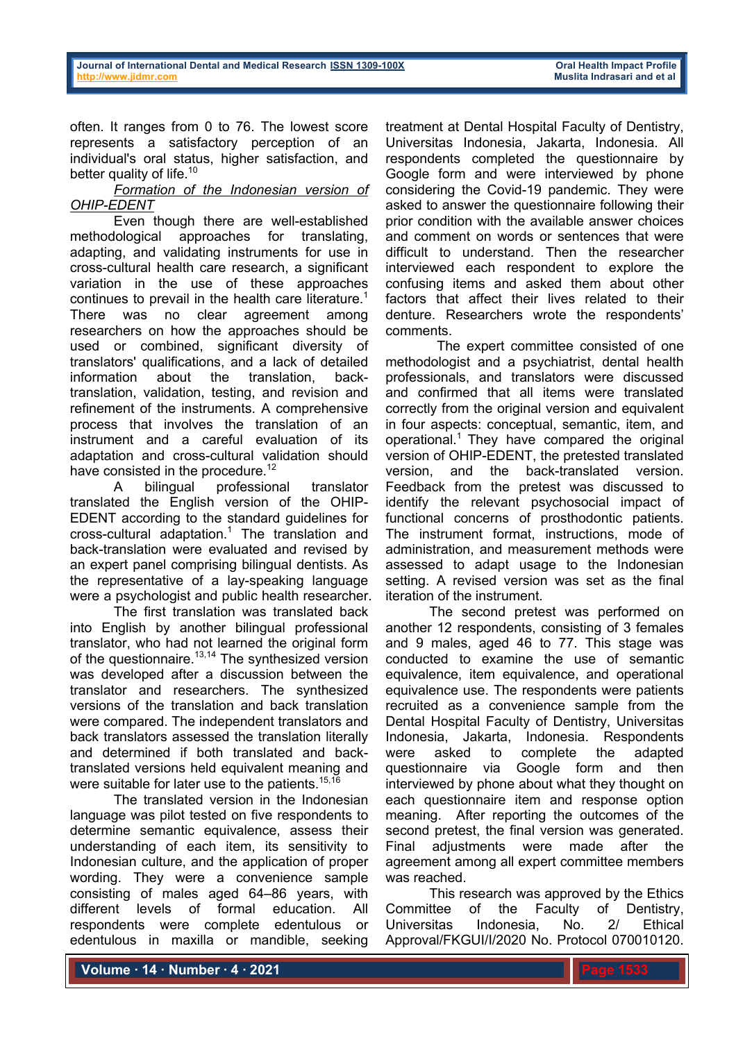often. It ranges from 0 to 76. The lowest score represents a satisfactory perception of an individual's oral status, higher satisfaction, and better quality of life.<sup>10</sup>

## *Formation of the Indonesian version of OHIP-EDENT*

 Even though there are well-established methodological approaches for translating, adapting, and validating instruments for use in cross-cultural health care research, a significant variation in the use of these approaches continues to prevail in the health care literature.<sup>1</sup> There was no clear agreement among researchers on how the approaches should be used or combined, significant diversity of translators' qualifications, and a lack of detailed information about the translation, backtranslation, validation, testing, and revision and refinement of the instruments. A comprehensive process that involves the translation of an instrument and a careful evaluation of its adaptation and cross-cultural validation should have consisted in the procedure.<sup>12</sup>

A bilingual professional translator translated the English version of the OHIP-EDENT according to the standard guidelines for cross-cultural adaptation.1 The translation and back-translation were evaluated and revised by an expert panel comprising bilingual dentists. As the representative of a lay-speaking language were a psychologist and public health researcher.

 The first translation was translated back into English by another bilingual professional translator, who had not learned the original form of the questionnaire.<sup>13,14</sup> The synthesized version was developed after a discussion between the translator and researchers. The synthesized versions of the translation and back translation were compared. The independent translators and back translators assessed the translation literally and determined if both translated and backtranslated versions held equivalent meaning and were suitable for later use to the patients.<sup>15,16</sup>

 The translated version in the Indonesian language was pilot tested on five respondents to determine semantic equivalence, assess their understanding of each item, its sensitivity to Indonesian culture, and the application of proper wording. They were a convenience sample consisting of males aged 64–86 years, with different levels of formal education. All respondents were complete edentulous or edentulous in maxilla or mandible, seeking

treatment at Dental Hospital Faculty of Dentistry, Universitas Indonesia, Jakarta, Indonesia. All respondents completed the questionnaire by Google form and were interviewed by phone considering the Covid-19 pandemic. They were asked to answer the questionnaire following their prior condition with the available answer choices and comment on words or sentences that were difficult to understand. Then the researcher interviewed each respondent to explore the confusing items and asked them about other factors that affect their lives related to their denture. Researchers wrote the respondents' comments.

 The expert committee consisted of one methodologist and a psychiatrist, dental health professionals, and translators were discussed and confirmed that all items were translated correctly from the original version and equivalent in four aspects: conceptual, semantic, item, and operational. 1 They have compared the original version of OHIP-EDENT, the pretested translated version, and the back-translated version. Feedback from the pretest was discussed to identify the relevant psychosocial impact of functional concerns of prosthodontic patients. The instrument format, instructions, mode of administration, and measurement methods were assessed to adapt usage to the Indonesian setting. A revised version was set as the final iteration of the instrument.

 The second pretest was performed on another 12 respondents, consisting of 3 females and 9 males, aged 46 to 77. This stage was conducted to examine the use of semantic equivalence, item equivalence, and operational equivalence use. The respondents were patients recruited as a convenience sample from the Dental Hospital Faculty of Dentistry, Universitas Indonesia, Jakarta, Indonesia. Respondents were asked to complete the adapted questionnaire via Google form and then interviewed by phone about what they thought on each questionnaire item and response option meaning. After reporting the outcomes of the second pretest, the final version was generated. Final adjustments were made after the agreement among all expert committee members was reached.

This research was approved by the Ethics Committee of the Faculty of Dentistry, Universitas Indonesia, No. 2/ Ethical Approval/FKGUI/I/2020 No. Protocol 070010120.

**Volume ∙ 14 ∙ Number ∙ 4 ∙ 2021**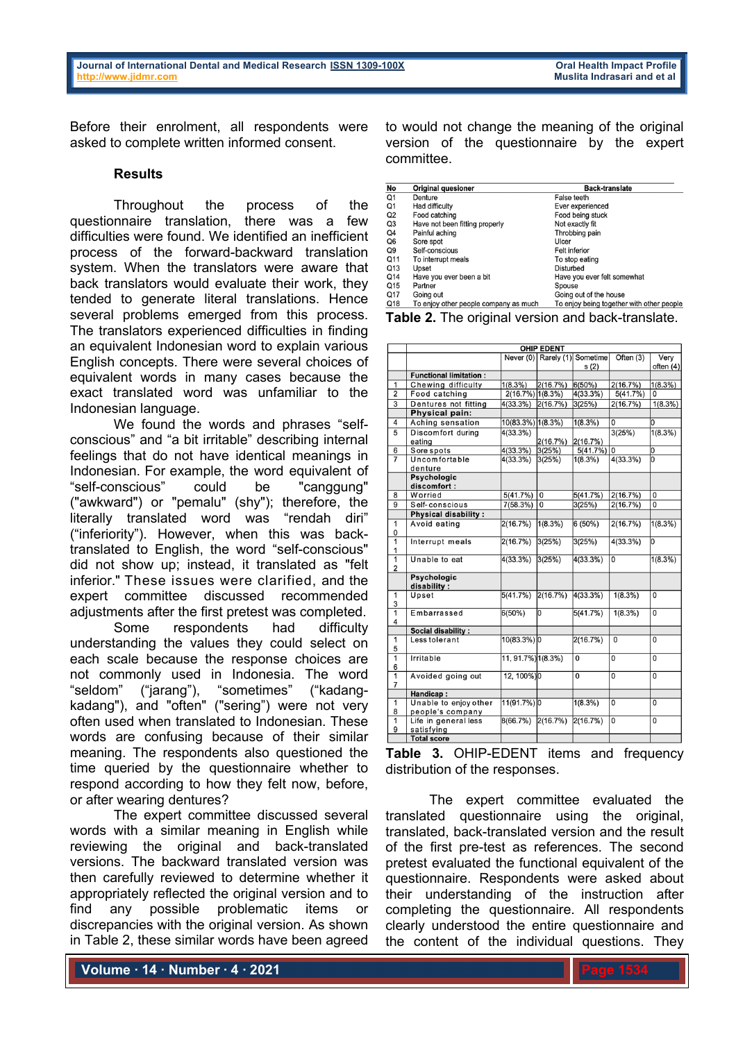Before their enrolment, all respondents were asked to complete written informed consent.

### **Results**

Throughout the process of the questionnaire translation, there was a few difficulties were found. We identified an inefficient process of the forward-backward translation system. When the translators were aware that back translators would evaluate their work, they tended to generate literal translations. Hence several problems emerged from this process. The translators experienced difficulties in finding an equivalent Indonesian word to explain various English concepts. There were several choices of equivalent words in many cases because the exact translated word was unfamiliar to the Indonesian language.

 We found the words and phrases "selfconscious" and "a bit irritable" describing internal feelings that do not have identical meanings in Indonesian. For example, the word equivalent of "self-conscious" could be "canggung" ("awkward") or "pemalu" (shy"); therefore, the literally translated word was "rendah diri" ("inferiority"). However, when this was backtranslated to English, the word "self-conscious" did not show up; instead, it translated as "felt inferior." These issues were clarified, and the expert committee discussed recommended adjustments after the first pretest was completed.

 Some respondents had difficulty understanding the values they could select on each scale because the response choices are not commonly used in Indonesia. The word "seldom" ("jarang"), "sometimes" ("kadangkadang"), and "often" ("sering") were not very often used when translated to Indonesian. These words are confusing because of their similar meaning. The respondents also questioned the time queried by the questionnaire whether to respond according to how they felt now, before, or after wearing dentures?

 The expert committee discussed several words with a similar meaning in English while reviewing the original and back-translated versions. The backward translated version was then carefully reviewed to determine whether it appropriately reflected the original version and to find any possible problematic items or discrepancies with the original version. As shown in Table 2, these similar words have been agreed

to would not change the meaning of the original version of the questionnaire by the expert committee.

| No             | <b>Original quesioner</b>             | <b>Back-translate</b>                     |  |  |
|----------------|---------------------------------------|-------------------------------------------|--|--|
| Q <sub>1</sub> | Denture                               | False teeth                               |  |  |
| Q1             | Had difficulty                        | Ever experienced                          |  |  |
| Q2             | Food catching                         | Food being stuck                          |  |  |
| Q3             | Have not been fitting properly        | Not exactly fit                           |  |  |
| Q4             | Painful aching                        | Throbbing pain                            |  |  |
| Q6             | Sore spot                             | Ulcer                                     |  |  |
| Q9             | Self-conscious                        | <b>Felt inferior</b>                      |  |  |
| Q11            | To interrupt meals                    | To stop eating                            |  |  |
| Q13            | Upset                                 | Disturbed                                 |  |  |
| Q14            | Have you ever been a bit              | Have you ever felt somewhat               |  |  |
| Q15            | Partner                               | Spouse                                    |  |  |
| Q17            | Going out                             | Going out of the house                    |  |  |
| Q18            | To enjoy other people company as much | To enjoy being together with other people |  |  |

**Table 2.** The original version and back-translate.

|                     | <b>OHIP EDENT</b>             |                    |                      |                |                |           |  |  |  |  |  |
|---------------------|-------------------------------|--------------------|----------------------|----------------|----------------|-----------|--|--|--|--|--|
|                     |                               |                    | Never (0) Rarely (1) | Sometime       | Often (3)      | Very      |  |  |  |  |  |
|                     |                               |                    |                      | s(2)           |                | often (4) |  |  |  |  |  |
|                     | <b>Functional limitation:</b> |                    |                      |                |                |           |  |  |  |  |  |
| 1                   | Chewing difficulty            | 1(8.3%)            | 2(16.7%)             | 6(50%)         | 2(16.7%)       | 1(8.3%)   |  |  |  |  |  |
| $\overline{2}$      | Food catching                 | 2(16.7%) 1(8.3%)   |                      | 4(33.3%)       | 5(41.7%)       | 0         |  |  |  |  |  |
| $\overline{3}$      | Dentures not fitting          | 4(33.3%)           | 2(16.7%)             | 3(25%)         | 2(16.7%)       | 1(8.3%)   |  |  |  |  |  |
|                     | Physical pain:                |                    |                      |                |                |           |  |  |  |  |  |
| $\overline{4}$      | Aching sensation              | 10(83.3%) 1(8.3%)  |                      | 1(8.3%)        | 0              | O         |  |  |  |  |  |
| $\overline{5}$      | Discomfort during             | 4(33.3%)           |                      |                | 3(25%)         | 1(8.3%)   |  |  |  |  |  |
|                     | eating                        |                    | 2(16.7%)             | 2(16.7%)       |                |           |  |  |  |  |  |
| 6                   | Sore spots                    | 4(33.3%)           | 3(25%)               | 5(41.7%)       | 10             | lо        |  |  |  |  |  |
| $\overline{7}$      | Uncomfortable                 | 4(33.3%)           | 3(25%)               | 1(8.3%)        | 4(33.3%)       | lo        |  |  |  |  |  |
|                     | denture                       |                    |                      |                |                |           |  |  |  |  |  |
|                     | <b>Psychologic</b>            |                    |                      |                |                |           |  |  |  |  |  |
|                     | discomfort:                   |                    |                      |                |                |           |  |  |  |  |  |
| 8                   | Worried                       | 5(41.7%)           | $\overline{0}$       | 5(41.7%)       | 2(16.7%)       | 0         |  |  |  |  |  |
| $\overline{9}$      | Self-conscious                | 7(58.3%)           | 0                    | 3(25%)         | 2(16.7%)       | 0         |  |  |  |  |  |
|                     | <b>Physical disability:</b>   |                    |                      |                |                |           |  |  |  |  |  |
| 1                   | Avoid eating                  | 2(16.7%)           | 1(8.3%)              | 6(50%)         | 2(16.7%)       | 1(8.3%)   |  |  |  |  |  |
| 0                   |                               |                    |                      |                |                |           |  |  |  |  |  |
| $\overline{1}$      | Interrupt meals               | 2(16.7%)           | 3(25%)               | 3(25%)         | 4(33.3%)       | lo        |  |  |  |  |  |
| 1<br>$\overline{1}$ | Unable to eat                 |                    |                      |                | $\overline{0}$ |           |  |  |  |  |  |
| $\overline{2}$      |                               | 4(33.3%)           | 3(25%)               | 4(33.3%)       |                | 1(8.3%)   |  |  |  |  |  |
|                     | <b>Psychologic</b>            |                    |                      |                |                |           |  |  |  |  |  |
|                     | disability:                   |                    |                      |                |                |           |  |  |  |  |  |
| 1                   | Upset                         | 5(41.7%)           | 2(16.7%)             | 4(33.3%)       | 1(8.3%)        | 0         |  |  |  |  |  |
| 3                   |                               |                    |                      |                |                |           |  |  |  |  |  |
| $\overline{1}$      | Embarrassed                   | 6(50%)             | O                    | 5(41.7%)       | 1(8.3%)        | 0         |  |  |  |  |  |
| 4                   |                               |                    |                      |                |                |           |  |  |  |  |  |
|                     | <b>Social disability:</b>     |                    |                      |                |                |           |  |  |  |  |  |
| 1                   | Less tolerant                 | 10(83.3%) 0        |                      | 2(16.7%)       | 0              | 0         |  |  |  |  |  |
| 5                   |                               |                    |                      |                |                |           |  |  |  |  |  |
| 1                   | Irritable                     | 11, 91.7%) 1(8.3%) |                      | 0              | $\overline{0}$ | 0         |  |  |  |  |  |
| 6                   |                               |                    |                      |                |                |           |  |  |  |  |  |
| 1                   | Avoided going out             | 12, 100%) 0        |                      | $\overline{0}$ | $\overline{0}$ | 0         |  |  |  |  |  |
| $\overline{7}$      |                               |                    |                      |                |                |           |  |  |  |  |  |
|                     | Handicap:                     |                    |                      |                |                |           |  |  |  |  |  |
| 1                   | Unable to enjoy other         | 11(91.7%) 0        |                      | 1(8.3%)        | 0              | 0         |  |  |  |  |  |
| 8                   | people's company              |                    |                      |                |                |           |  |  |  |  |  |
| 1                   | Life in general less          | 8(66.7%)           | 2(16.7%)             | 2(16.7%)       | $\overline{0}$ | 0         |  |  |  |  |  |
| 9                   | satisfying                    |                    |                      |                |                |           |  |  |  |  |  |
|                     | <b>Total score</b>            |                    |                      |                |                |           |  |  |  |  |  |

**Table 3.** OHIP-EDENT items and frequency distribution of the responses.

 The expert committee evaluated the translated questionnaire using the original, translated, back-translated version and the result of the first pre-test as references. The second pretest evaluated the functional equivalent of the questionnaire. Respondents were asked about their understanding of the instruction after completing the questionnaire. All respondents clearly understood the entire questionnaire and the content of the individual questions. They

**Volume ∙ 14 ∙ Number ∙ 4 ∙ 2021**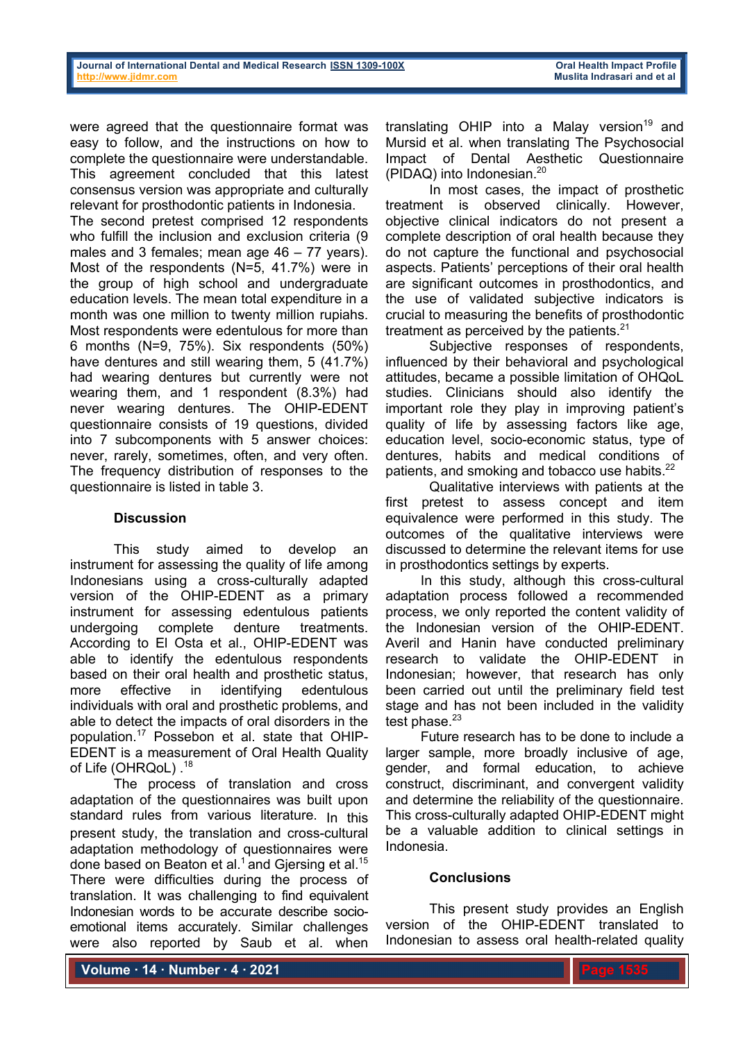were agreed that the questionnaire format was easy to follow, and the instructions on how to complete the questionnaire were understandable. This agreement concluded that this latest consensus version was appropriate and culturally relevant for prosthodontic patients in Indonesia.

The second pretest comprised 12 respondents who fulfill the inclusion and exclusion criteria (9 males and 3 females; mean age 46 – 77 years). Most of the respondents (N=5, 41.7%) were in the group of high school and undergraduate education levels. The mean total expenditure in a month was one million to twenty million rupiahs. Most respondents were edentulous for more than 6 months (N=9, 75%). Six respondents (50%) have dentures and still wearing them, 5 (41.7%) had wearing dentures but currently were not wearing them, and 1 respondent (8.3%) had never wearing dentures. The OHIP-EDENT questionnaire consists of 19 questions, divided into 7 subcomponents with 5 answer choices: never, rarely, sometimes, often, and very often. The frequency distribution of responses to the questionnaire is listed in table 3.

# **Discussion**

This study aimed to develop an instrument for assessing the quality of life among Indonesians using a cross-culturally adapted version of the OHIP-EDENT as a primary instrument for assessing edentulous patients undergoing complete denture treatments. According to El Osta et al., OHIP-EDENT was able to identify the edentulous respondents based on their oral health and prosthetic status, more effective in identifying edentulous individuals with oral and prosthetic problems, and able to detect the impacts of oral disorders in the population. <sup>17</sup> Possebon et al. state that OHIP-EDENT is a measurement of Oral Health Quality of Life (OHRQoL).<sup>18</sup>

The process of translation and cross adaptation of the questionnaires was built upon standard rules from various literature. In this present study, the translation and cross-cultural adaptation methodology of questionnaires were done based on Beaton et al.<sup>1</sup> and Giersing et al.<sup>15</sup> There were difficulties during the process of translation. It was challenging to find equivalent Indonesian words to be accurate describe socioemotional items accurately. Similar challenges were also reported by Saub et al. when

translating OHIP into a Malay version<sup>19</sup> and Mursid et al. when translating The Psychosocial Impact of Dental Aesthetic Questionnaire (PIDAQ) into Indonesian.20

In most cases, the impact of prosthetic treatment is observed clinically. However, objective clinical indicators do not present a complete description of oral health because they do not capture the functional and psychosocial aspects. Patients' perceptions of their oral health are significant outcomes in prosthodontics, and the use of validated subjective indicators is crucial to measuring the benefits of prosthodontic treatment as perceived by the patients. $21$ 

Subjective responses of respondents, influenced by their behavioral and psychological attitudes, became a possible limitation of OHQoL studies. Clinicians should also identify the important role they play in improving patient's quality of life by assessing factors like age, education level, socio-economic status, type of dentures, habits and medical conditions of patients, and smoking and tobacco use habits.<sup>22</sup>

Qualitative interviews with patients at the first pretest to assess concept and item equivalence were performed in this study. The outcomes of the qualitative interviews were discussed to determine the relevant items for use in prosthodontics settings by experts.

In this study, although this cross-cultural adaptation process followed a recommended process, we only reported the content validity of the Indonesian version of the OHIP-EDENT. Averil and Hanin have conducted preliminary research to validate the OHIP-EDENT in Indonesian; however, that research has only been carried out until the preliminary field test stage and has not been included in the validity test phase. $23$ 

Future research has to be done to include a larger sample, more broadly inclusive of age, gender, and formal education, to achieve construct, discriminant, and convergent validity and determine the reliability of the questionnaire. This cross-culturally adapted OHIP-EDENT might be a valuable addition to clinical settings in Indonesia.

## **Conclusions**

This present study provides an English version of the OHIP-EDENT translated to Indonesian to assess oral health-related quality

**Volume ∙ 14 ∙ Number ∙ 4 ∙ 2021**